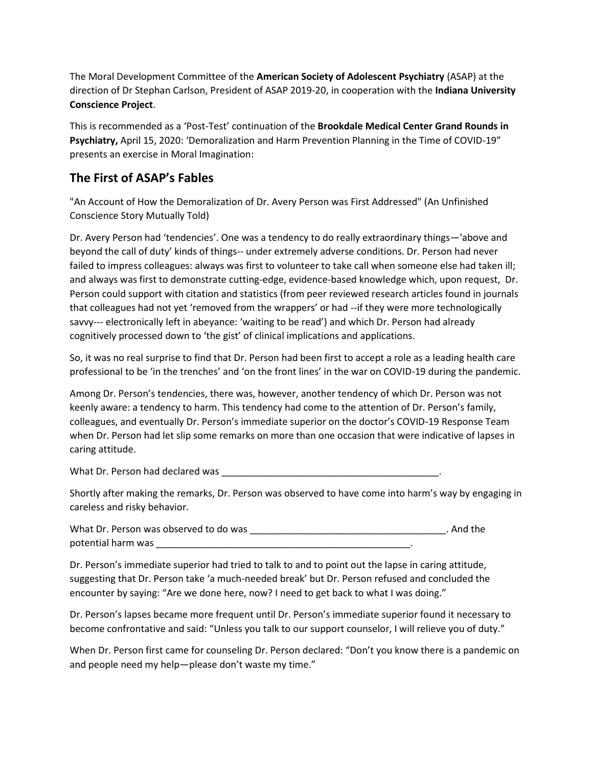The Moral Development Committee of the **American Society of Adolescent Psychiatry** (ASAP) at the direction of Dr Stephan Carlson, President of ASAP 2019-20, in cooperation with the **Indiana University Conscience Project**.

This is recommended as a 'Post-Test' continuation of the **Brookdale Medical Center Grand Rounds in Psychiatry,** April 15, 2020: 'Demoralization and Harm Prevention Planning in the Time of COVID-19" presents an exercise in Moral Imagination:

## **The First of ASAP's Fables**

"An Account of How the Demoralization of Dr. Avery Person was First Addressed" (An Unfinished Conscience Story Mutually Told)

Dr. Avery Person had 'tendencies'. One was a tendency to do really extraordinary things—'above and beyond the call of duty' kinds of things-- under extremely adverse conditions. Dr. Person had never failed to impress colleagues: always was first to volunteer to take call when someone else had taken ill; and always was first to demonstrate cutting-edge, evidence-based knowledge which, upon request, Dr. Person could support with citation and statistics (from peer reviewed research articles found in journals that colleagues had not yet 'removed from the wrappers' or had --if they were more technologically savvy--- electronically left in abeyance: 'waiting to be read') and which Dr. Person had already cognitively processed down to 'the gist' of clinical implications and applications.

So, it was no real surprise to find that Dr. Person had been first to accept a role as a leading health care professional to be 'in the trenches' and 'on the front lines' in the war on COVID-19 during the pandemic.

Among Dr. Person's tendencies, there was, however, another tendency of which Dr. Person was not keenly aware: a tendency to harm. This tendency had come to the attention of Dr. Person's family, colleagues, and eventually Dr. Person's immediate superior on the doctor's COVID-19 Response Team when Dr. Person had let slip some remarks on more than one occasion that were indicative of lapses in caring attitude.

What Dr. Person had declared was \_\_\_\_\_\_\_\_\_\_\_\_\_\_\_\_\_\_\_\_\_\_\_\_\_\_\_\_\_\_\_\_\_\_\_\_\_\_\_\_\_.

Shortly after making the remarks, Dr. Person was observed to have come into harm's way by engaging in careless and risky behavior.

What Dr. Person was observed to do was \_\_\_\_\_\_\_\_\_\_\_\_\_\_\_\_\_\_\_\_\_\_\_\_\_\_\_\_\_\_\_\_\_\_\_\_\_. And the potential harm was \_\_\_\_\_\_\_\_\_\_\_\_\_\_\_\_\_\_\_\_\_\_\_\_\_\_\_\_\_\_\_\_\_\_\_\_\_\_\_\_\_\_\_\_\_\_\_\_.

Dr. Person's immediate superior had tried to talk to and to point out the lapse in caring attitude, suggesting that Dr. Person take 'a much-needed break' but Dr. Person refused and concluded the encounter by saying: "Are we done here, now? I need to get back to what I was doing."

Dr. Person's lapses became more frequent until Dr. Person's immediate superior found it necessary to become confrontative and said: "Unless you talk to our support counselor, I will relieve you of duty."

When Dr. Person first came for counseling Dr. Person declared: "Don't you know there is a pandemic on and people need my help—please don't waste my time."